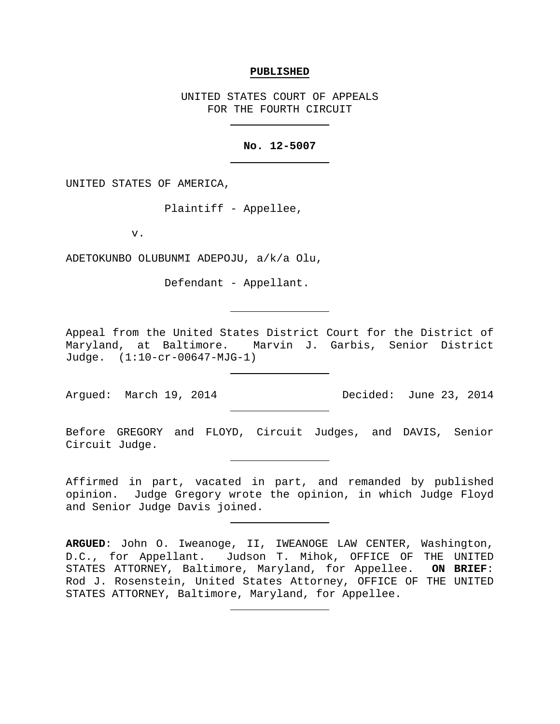#### **PUBLISHED**

UNITED STATES COURT OF APPEALS FOR THE FOURTH CIRCUIT

## **No. 12-5007**

UNITED STATES OF AMERICA,

Plaintiff - Appellee,

v.

ADETOKUNBO OLUBUNMI ADEPOJU, a/k/a Olu,

Defendant - Appellant.

Appeal from the United States District Court for the District of Maryland, at Baltimore. Marvin J. Garbis, Senior District Judge. (1:10-cr-00647-MJG-1)

Argued: March 19, 2014 Decided: June 23, 2014

Before GREGORY and FLOYD, Circuit Judges, and DAVIS, Senior Circuit Judge.

Affirmed in part, vacated in part, and remanded by published opinion. Judge Gregory wrote the opinion, in which Judge Floyd and Senior Judge Davis joined.

**ARGUED**: John O. Iweanoge, II, IWEANOGE LAW CENTER, Washington, D.C., for Appellant. Judson T. Mihok, OFFICE OF THE UNITED<br>STATES ATTORNEY, Baltimore, Maryland, for Appellee. ON BRIEF: STATES ATTORNEY, Baltimore, Maryland, for Appellee. Rod J. Rosenstein, United States Attorney, OFFICE OF THE UNITED STATES ATTORNEY, Baltimore, Maryland, for Appellee.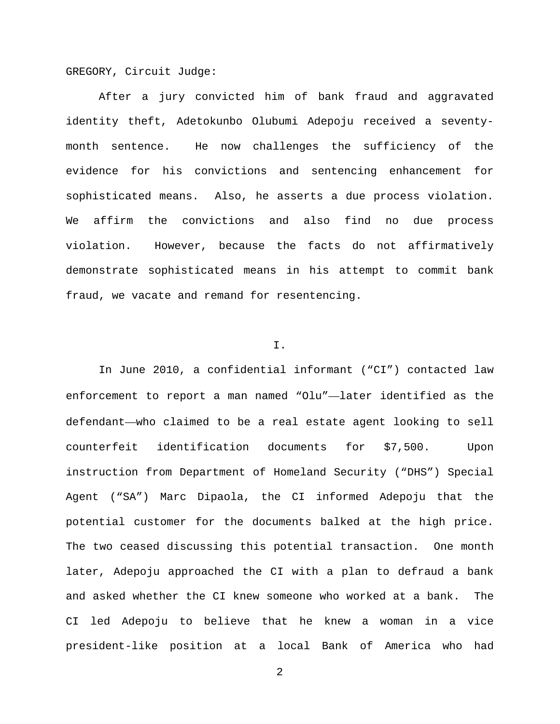GREGORY, Circuit Judge:

After a jury convicted him of bank fraud and aggravated identity theft, Adetokunbo Olubumi Adepoju received a seventymonth sentence. He now challenges the sufficiency of the evidence for his convictions and sentencing enhancement for sophisticated means. Also, he asserts a due process violation. We affirm the convictions and also find no due process violation. However, because the facts do not affirmatively demonstrate sophisticated means in his attempt to commit bank fraud, we vacate and remand for resentencing.

## I.

In June 2010, a confidential informant ("CI") contacted law enforcement to report a man named "Olu"—later identified as the defendant—who claimed to be a real estate agent looking to sell counterfeit identification documents for \$7,500. Upon instruction from Department of Homeland Security ("DHS") Special Agent ("SA") Marc Dipaola, the CI informed Adepoju that the potential customer for the documents balked at the high price. The two ceased discussing this potential transaction. One month later, Adepoju approached the CI with a plan to defraud a bank and asked whether the CI knew someone who worked at a bank. The CI led Adepoju to believe that he knew a woman in a vice president-like position at a local Bank of America who had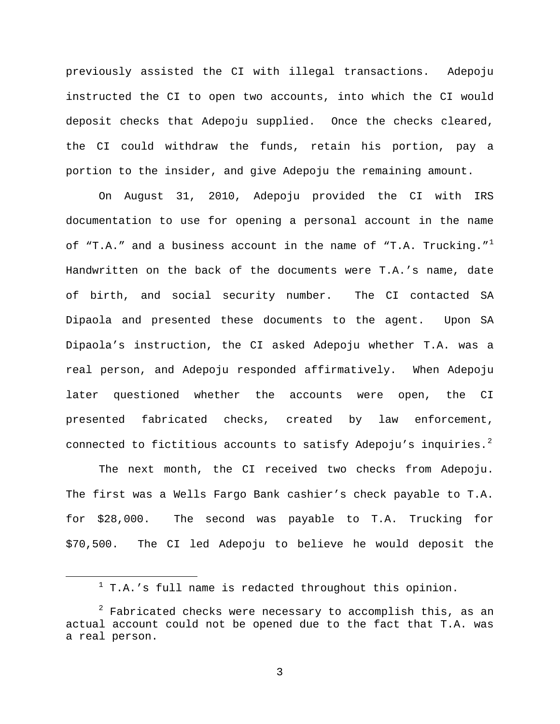previously assisted the CI with illegal transactions. Adepoju instructed the CI to open two accounts, into which the CI would deposit checks that Adepoju supplied. Once the checks cleared, the CI could withdraw the funds, retain his portion, pay a portion to the insider, and give Adepoju the remaining amount.

On August 31, 2010, Adepoju provided the CI with IRS documentation to use for opening a personal account in the name of "T.A." and a business account in the name of "T.A. Trucking." $^1$  $^1$ Handwritten on the back of the documents were T.A.'s name, date of birth, and social security number. The CI contacted SA Dipaola and presented these documents to the agent. Upon SA Dipaola's instruction, the CI asked Adepoju whether T.A. was a real person, and Adepoju responded affirmatively. When Adepoju later questioned whether the accounts were open, the CI presented fabricated checks, created by law enforcement, connected to fictitious accounts to satisfy Adepoju's inquiries.<sup>[2](#page-2-1)</sup>

The next month, the CI received two checks from Adepoju. The first was a Wells Fargo Bank cashier's check payable to T.A. for \$28,000. The second was payable to T.A. Trucking for \$70,500. The CI led Adepoju to believe he would deposit the

 $1$  T.A.'s full name is redacted throughout this opinion.

<span id="page-2-1"></span><span id="page-2-0"></span> $2$  Fabricated checks were necessary to accomplish this, as an actual account could not be opened due to the fact that T.A. was a real person.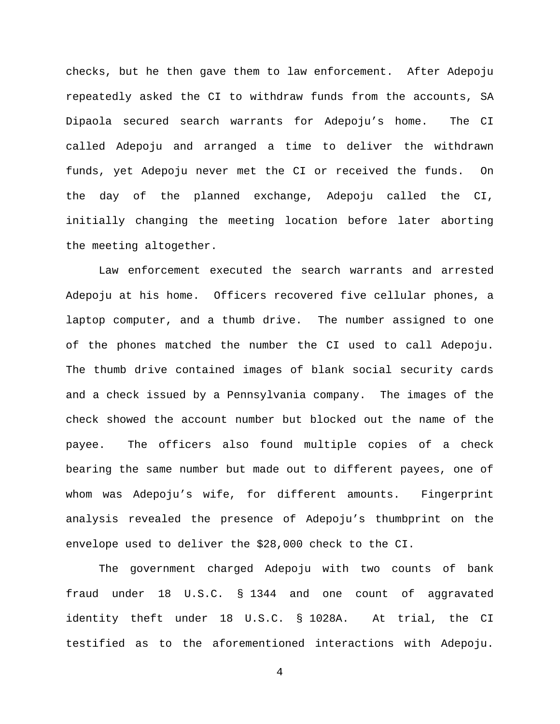checks, but he then gave them to law enforcement. After Adepoju repeatedly asked the CI to withdraw funds from the accounts, SA Dipaola secured search warrants for Adepoju's home. The CI called Adepoju and arranged a time to deliver the withdrawn funds, yet Adepoju never met the CI or received the funds. On the day of the planned exchange, Adepoju called the CI, initially changing the meeting location before later aborting the meeting altogether.

Law enforcement executed the search warrants and arrested Adepoju at his home. Officers recovered five cellular phones, a laptop computer, and a thumb drive. The number assigned to one of the phones matched the number the CI used to call Adepoju. The thumb drive contained images of blank social security cards and a check issued by a Pennsylvania company. The images of the check showed the account number but blocked out the name of the payee. The officers also found multiple copies of a check bearing the same number but made out to different payees, one of whom was Adepoju's wife, for different amounts. Fingerprint analysis revealed the presence of Adepoju's thumbprint on the envelope used to deliver the \$28,000 check to the CI.

The government charged Adepoju with two counts of bank fraud under 18 U.S.C. § 1344 and one count of aggravated identity theft under 18 U.S.C. § 1028A. At trial, the CI testified as to the aforementioned interactions with Adepoju.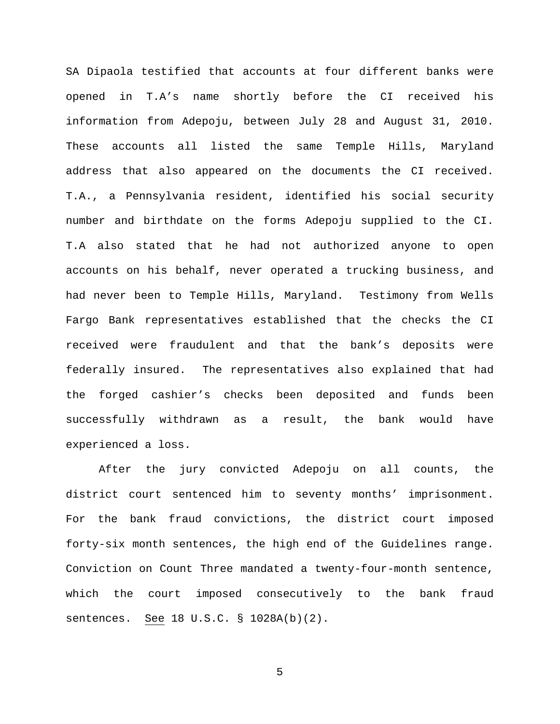SA Dipaola testified that accounts at four different banks were opened in T.A's name shortly before the CI received his information from Adepoju, between July 28 and August 31, 2010. These accounts all listed the same Temple Hills, Maryland address that also appeared on the documents the CI received. T.A., a Pennsylvania resident, identified his social security number and birthdate on the forms Adepoju supplied to the CI. T.A also stated that he had not authorized anyone to open accounts on his behalf, never operated a trucking business, and had never been to Temple Hills, Maryland. Testimony from Wells Fargo Bank representatives established that the checks the CI received were fraudulent and that the bank's deposits were federally insured. The representatives also explained that had the forged cashier's checks been deposited and funds been successfully withdrawn as a result, the bank would have experienced a loss.

After the jury convicted Adepoju on all counts, the district court sentenced him to seventy months' imprisonment. For the bank fraud convictions, the district court imposed forty-six month sentences, the high end of the Guidelines range. Conviction on Count Three mandated a twenty-four-month sentence, which the court imposed consecutively to the bank fraud sentences. See 18 U.S.C. § 1028A(b)(2).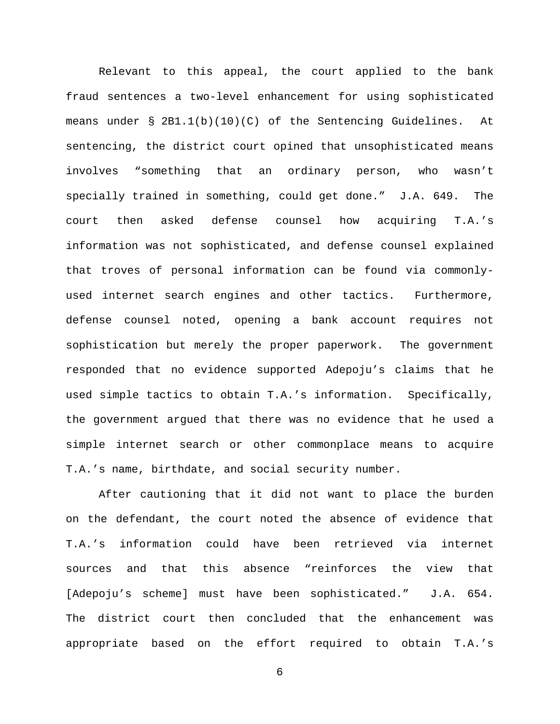Relevant to this appeal, the court applied to the bank fraud sentences a two-level enhancement for using sophisticated means under § 2B1.1(b)(10)(C) of the Sentencing Guidelines. At sentencing, the district court opined that unsophisticated means involves "something that an ordinary person, who wasn't specially trained in something, could get done." J.A. 649. The court then asked defense counsel how acquiring T.A.'s information was not sophisticated, and defense counsel explained that troves of personal information can be found via commonlyused internet search engines and other tactics. Furthermore, defense counsel noted, opening a bank account requires not sophistication but merely the proper paperwork. The government responded that no evidence supported Adepoju's claims that he used simple tactics to obtain T.A.'s information. Specifically, the government argued that there was no evidence that he used a simple internet search or other commonplace means to acquire T.A.'s name, birthdate, and social security number.

After cautioning that it did not want to place the burden on the defendant, the court noted the absence of evidence that T.A.'s information could have been retrieved via internet sources and that this absence "reinforces the view that [Adepoju's scheme] must have been sophisticated." J.A. 654. The district court then concluded that the enhancement was appropriate based on the effort required to obtain T.A.'s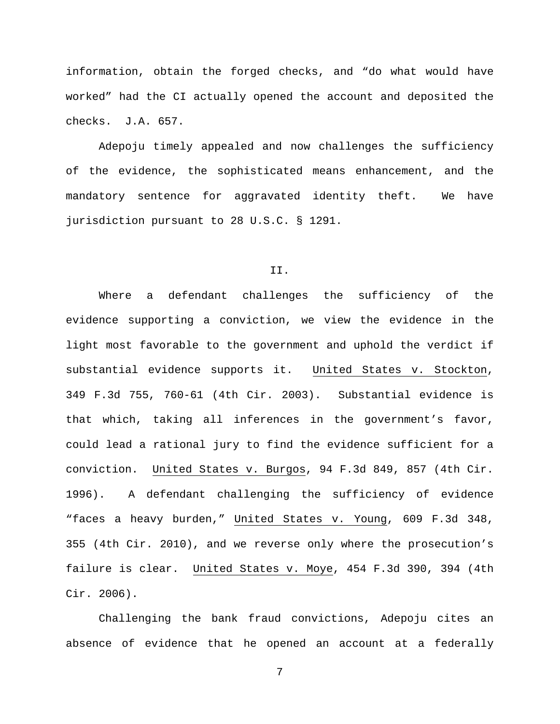information, obtain the forged checks, and "do what would have worked" had the CI actually opened the account and deposited the checks. J.A. 657.

Adepoju timely appealed and now challenges the sufficiency of the evidence, the sophisticated means enhancement, and the mandatory sentence for aggravated identity theft. We have jurisdiction pursuant to 28 U.S.C. § 1291.

#### II.

Where a defendant challenges the sufficiency of the evidence supporting a conviction, we view the evidence in the light most favorable to the government and uphold the verdict if substantial evidence supports it. United States v. Stockton, 349 F.3d 755, 760-61 (4th Cir. 2003). Substantial evidence is that which, taking all inferences in the government's favor, could lead a rational jury to find the evidence sufficient for a conviction. United States v. Burgos, 94 F.3d 849, 857 (4th Cir. 1996). A defendant challenging the sufficiency of evidence "faces a heavy burden," United States v. Young, 609 F.3d 348, 355 (4th Cir. 2010), and we reverse only where the prosecution's failure is clear. United States v. Moye, 454 F.3d 390, 394 (4th Cir. 2006).

Challenging the bank fraud convictions, Adepoju cites an absence of evidence that he opened an account at a federally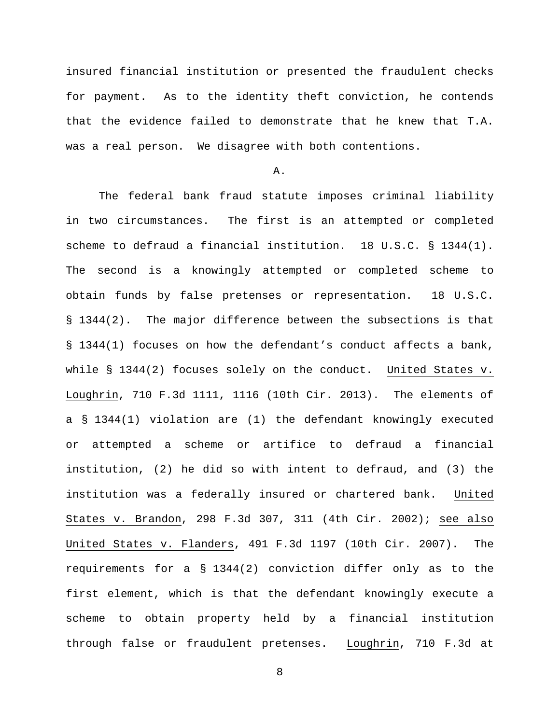insured financial institution or presented the fraudulent checks for payment. As to the identity theft conviction, he contends that the evidence failed to demonstrate that he knew that T.A. was a real person. We disagree with both contentions.

A.

The federal bank fraud statute imposes criminal liability in two circumstances. The first is an attempted or completed scheme to defraud a financial institution. 18 U.S.C. § 1344(1). The second is a knowingly attempted or completed scheme to obtain funds by false pretenses or representation. 18 U.S.C. § 1344(2). The major difference between the subsections is that § 1344(1) focuses on how the defendant's conduct affects a bank, while § 1344(2) focuses solely on the conduct. United States v. Loughrin, 710 F.3d 1111, 1116 (10th Cir. 2013). The elements of a § 1344(1) violation are (1) the defendant knowingly executed or attempted a scheme or artifice to defraud a financial institution, (2) he did so with intent to defraud, and (3) the institution was a federally insured or chartered bank. United States v. Brandon, 298 F.3d 307, 311 (4th Cir. 2002); see also United States v. Flanders, 491 F.3d 1197 (10th Cir. 2007). The requirements for a § 1344(2) conviction differ only as to the first element, which is that the defendant knowingly execute a scheme to obtain property held by a financial institution through false or fraudulent pretenses. Loughrin, 710 F.3d at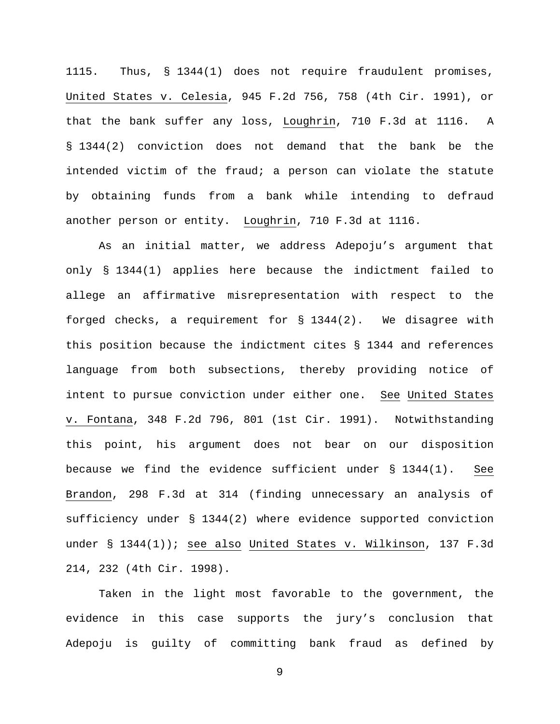1115. Thus, § 1344(1) does not require fraudulent promises, United States v. Celesia, 945 F.2d 756, 758 (4th Cir. 1991), or that the bank suffer any loss, Loughrin, 710 F.3d at 1116. A § 1344(2) conviction does not demand that the bank be the intended victim of the fraud; a person can violate the statute by obtaining funds from a bank while intending to defraud another person or entity. Loughrin, 710 F.3d at 1116.

As an initial matter, we address Adepoju's argument that only § 1344(1) applies here because the indictment failed to allege an affirmative misrepresentation with respect to the forged checks, a requirement for § 1344(2). We disagree with this position because the indictment cites § 1344 and references language from both subsections, thereby providing notice of intent to pursue conviction under either one. See United States v. Fontana, 348 F.2d 796, 801 (1st Cir. 1991). Notwithstanding this point, his argument does not bear on our disposition because we find the evidence sufficient under § 1344(1). See Brandon, 298 F.3d at 314 (finding unnecessary an analysis of sufficiency under § 1344(2) where evidence supported conviction under § 1344(1)); see also United States v. Wilkinson, 137 F.3d 214, 232 (4th Cir. 1998).

Taken in the light most favorable to the government, the evidence in this case supports the jury's conclusion that Adepoju is guilty of committing bank fraud as defined by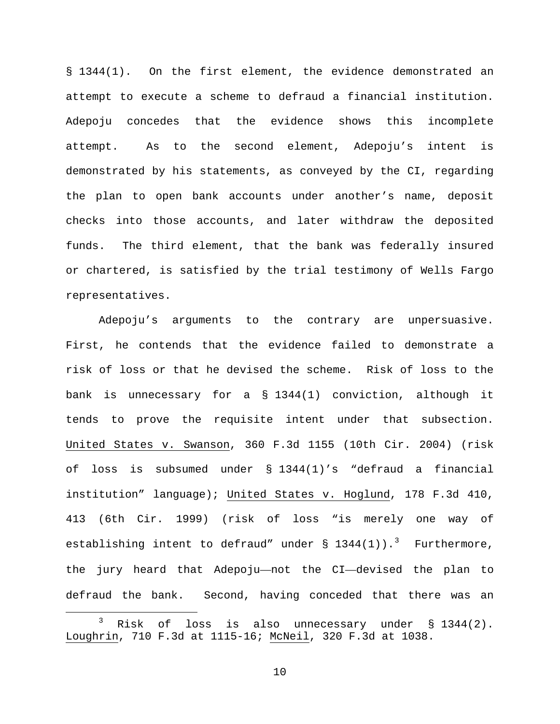§ 1344(1). On the first element, the evidence demonstrated an attempt to execute a scheme to defraud a financial institution. Adepoju concedes that the evidence shows this incomplete attempt. As to the second element, Adepoju's intent is demonstrated by his statements, as conveyed by the CI, regarding the plan to open bank accounts under another's name, deposit checks into those accounts, and later withdraw the deposited funds. The third element, that the bank was federally insured or chartered, is satisfied by the trial testimony of Wells Fargo representatives.

Adepoju's arguments to the contrary are unpersuasive. First, he contends that the evidence failed to demonstrate a risk of loss or that he devised the scheme. Risk of loss to the bank is unnecessary for a § 1344(1) conviction, although it tends to prove the requisite intent under that subsection. United States v. Swanson, 360 F.3d 1155 (10th Cir. 2004) (risk of loss is subsumed under § 1344(1)'s "defraud a financial institution" language); United States v. Hoglund, 178 F.3d 410, 413 (6th Cir. 1999) (risk of loss "is merely one way of establishing intent to defraud" under  $\S$  1[3](#page-9-0)44(1)).<sup>3</sup> Furthermore, the jury heard that Adepoju—not the CI—devised the plan to defraud the bank. Second, having conceded that there was an

<span id="page-9-0"></span> $3$  Risk of loss is also unnecessary under  $\S$  1344(2). Loughrin, 710 F.3d at 1115-16; McNeil, 320 F.3d at 1038.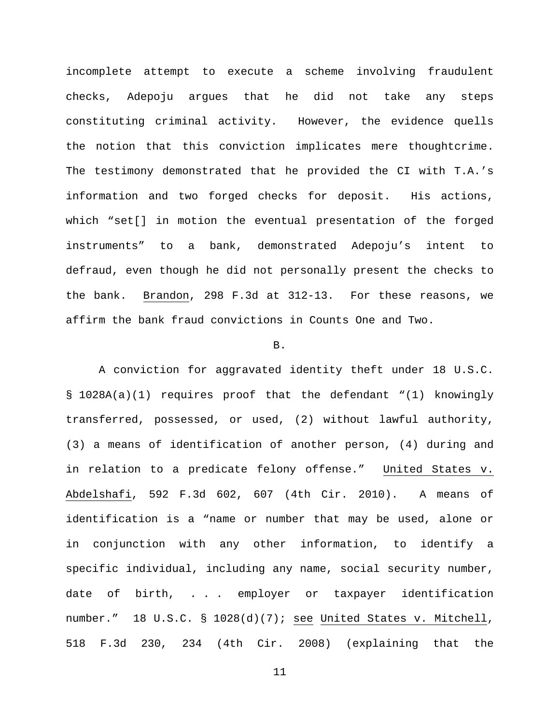incomplete attempt to execute a scheme involving fraudulent checks, Adepoju argues that he did not take any steps constituting criminal activity. However, the evidence quells the notion that this conviction implicates mere thoughtcrime. The testimony demonstrated that he provided the CI with T.A.'s information and two forged checks for deposit. His actions, which "set[] in motion the eventual presentation of the forged instruments" to a bank, demonstrated Adepoju's intent to defraud, even though he did not personally present the checks to the bank. Brandon, 298 F.3d at 312-13. For these reasons, we affirm the bank fraud convictions in Counts One and Two.

### B.

A conviction for aggravated identity theft under 18 U.S.C. § 1028A(a)(1) requires proof that the defendant "(1) knowingly transferred, possessed, or used, (2) without lawful authority, (3) a means of identification of another person, (4) during and in relation to a predicate felony offense." United States v. Abdelshafi, 592 F.3d 602, 607 (4th Cir. 2010). A means of identification is a "name or number that may be used, alone or in conjunction with any other information, to identify a specific individual, including any name, social security number, date of birth, . . . employer or taxpayer identification number." 18 U.S.C. § 1028(d)(7); see United States v. Mitchell, 518 F.3d 230, 234 (4th Cir. 2008) (explaining that the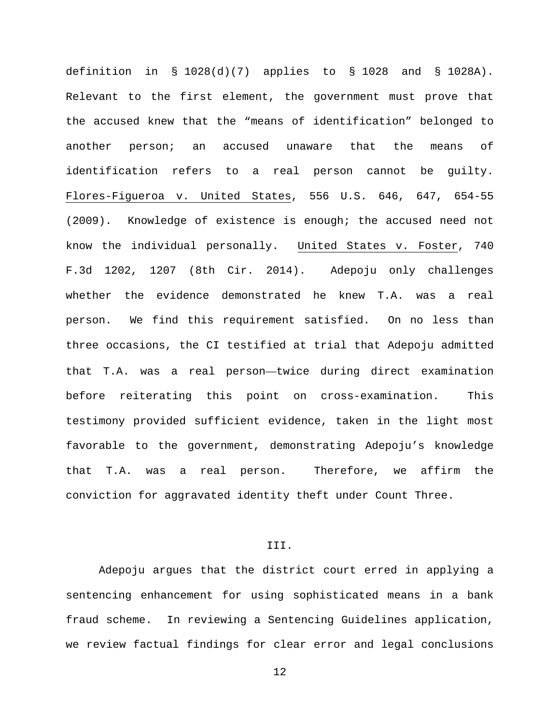definition in  $\S$  1028(d)(7) applies to  $\S$  1028 and  $\S$  1028A). Relevant to the first element, the government must prove that the accused knew that the "means of identification" belonged to another person; an accused unaware that the means of identification refers to a real person cannot be guilty. Flores-Figueroa v. United States, 556 U.S. 646, 647, 654-55 (2009). Knowledge of existence is enough; the accused need not know the individual personally. United States v. Foster, 740 F.3d 1202, 1207 (8th Cir. 2014). Adepoju only challenges whether the evidence demonstrated he knew T.A. was a real person. We find this requirement satisfied. On no less than three occasions, the CI testified at trial that Adepoju admitted that T.A. was a real person—twice during direct examination before reiterating this point on cross-examination. This testimony provided sufficient evidence, taken in the light most favorable to the government, demonstrating Adepoju's knowledge that T.A. was a real person. Therefore, we affirm the conviction for aggravated identity theft under Count Three.

# III.

Adepoju argues that the district court erred in applying a sentencing enhancement for using sophisticated means in a bank fraud scheme. In reviewing a Sentencing Guidelines application, we review factual findings for clear error and legal conclusions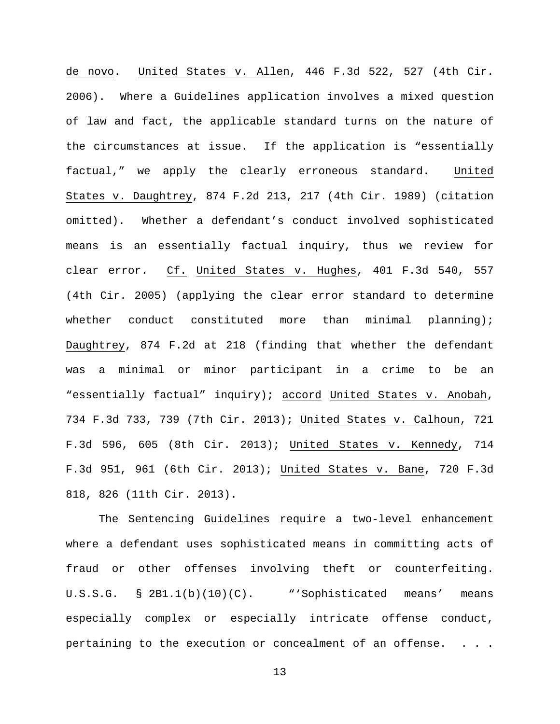de novo. United States v. Allen, 446 F.3d 522, 527 (4th Cir. 2006). Where a Guidelines application involves a mixed question of law and fact, the applicable standard turns on the nature of the circumstances at issue. If the application is "essentially factual," we apply the clearly erroneous standard. United States v. Daughtrey, 874 F.2d 213, 217 (4th Cir. 1989) (citation omitted). Whether a defendant's conduct involved sophisticated means is an essentially factual inquiry, thus we review for clear error. Cf. United States v. Hughes, 401 F.3d 540, 557 (4th Cir. 2005) (applying the clear error standard to determine whether conduct constituted more than minimal planning); Daughtrey, 874 F.2d at 218 (finding that whether the defendant was a minimal or minor participant in a crime to be an "essentially factual" inquiry); accord United States v. Anobah, 734 F.3d 733, 739 (7th Cir. 2013); United States v. Calhoun, 721 F.3d 596, 605 (8th Cir. 2013); United States v. Kennedy, 714 F.3d 951, 961 (6th Cir. 2013); United States v. Bane, 720 F.3d 818, 826 (11th Cir. 2013).

The Sentencing Guidelines require a two-level enhancement where a defendant uses sophisticated means in committing acts of fraud or other offenses involving theft or counterfeiting. U.S.S.G. § 2B1.1(b)(10)(C). "'Sophisticated means' means especially complex or especially intricate offense conduct, pertaining to the execution or concealment of an offense.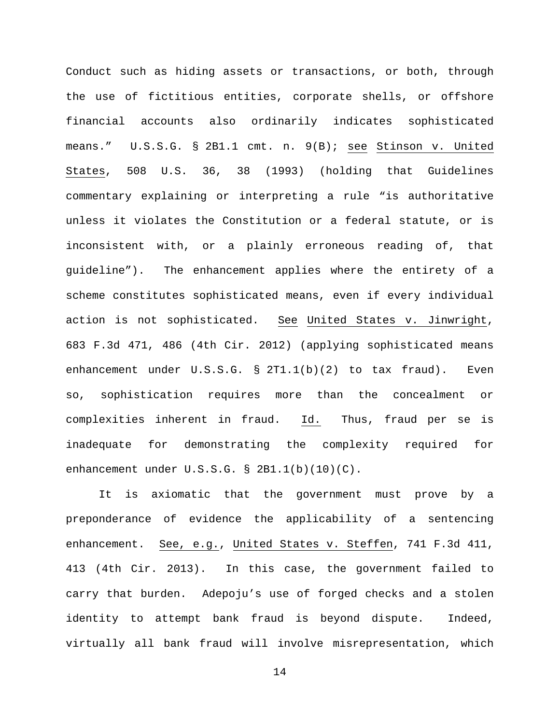Conduct such as hiding assets or transactions, or both, through the use of fictitious entities, corporate shells, or offshore financial accounts also ordinarily indicates sophisticated means." U.S.S.G. § 2B1.1 cmt. n. 9(B); see Stinson v. United States, 508 U.S. 36, 38 (1993) (holding that Guidelines commentary explaining or interpreting a rule "is authoritative unless it violates the Constitution or a federal statute, or is inconsistent with, or a plainly erroneous reading of, that guideline"). The enhancement applies where the entirety of a scheme constitutes sophisticated means, even if every individual action is not sophisticated. See United States v. Jinwright, 683 F.3d 471, 486 (4th Cir. 2012) (applying sophisticated means enhancement under U.S.S.G. § 2T1.1(b)(2) to tax fraud). Even so, sophistication requires more than the concealment or complexities inherent in fraud. Id. Thus, fraud per se is inadequate for demonstrating the complexity required for enhancement under U.S.S.G. § 2B1.1(b)(10)(C).

It is axiomatic that the government must prove by a preponderance of evidence the applicability of a sentencing enhancement. See, e.g., United States v. Steffen, 741 F.3d 411, 413 (4th Cir. 2013). In this case, the government failed to carry that burden. Adepoju's use of forged checks and a stolen identity to attempt bank fraud is beyond dispute. Indeed, virtually all bank fraud will involve misrepresentation, which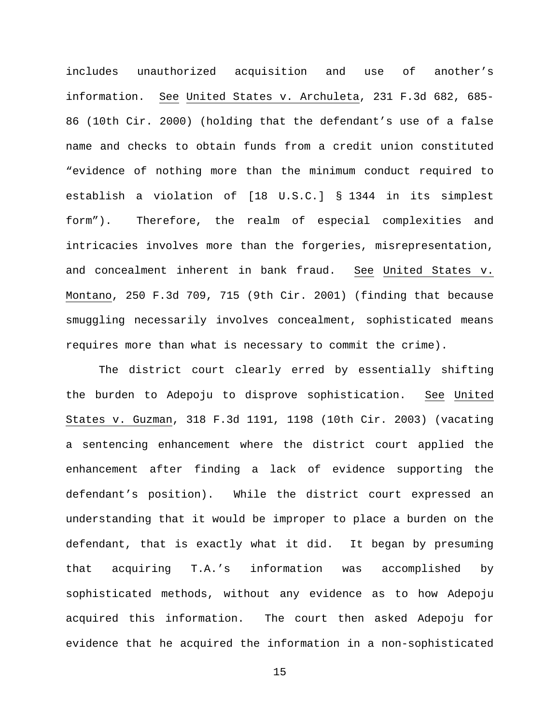includes unauthorized acquisition and use of another's information. See United States v. Archuleta, 231 F.3d 682, 685- 86 (10th Cir. 2000) (holding that the defendant's use of a false name and checks to obtain funds from a credit union constituted "evidence of nothing more than the minimum conduct required to establish a violation of [18 U.S.C.] § 1344 in its simplest form"). Therefore, the realm of especial complexities and intricacies involves more than the forgeries, misrepresentation, and concealment inherent in bank fraud. See United States v. Montano, 250 F.3d 709, 715 (9th Cir. 2001) (finding that because smuggling necessarily involves concealment, sophisticated means requires more than what is necessary to commit the crime).

The district court clearly erred by essentially shifting the burden to Adepoju to disprove sophistication. See United States v. Guzman, 318 F.3d 1191, 1198 (10th Cir. 2003) (vacating a sentencing enhancement where the district court applied the enhancement after finding a lack of evidence supporting the defendant's position). While the district court expressed an understanding that it would be improper to place a burden on the defendant, that is exactly what it did. It began by presuming that acquiring T.A.'s information was accomplished by sophisticated methods, without any evidence as to how Adepoju acquired this information. The court then asked Adepoju for evidence that he acquired the information in a non-sophisticated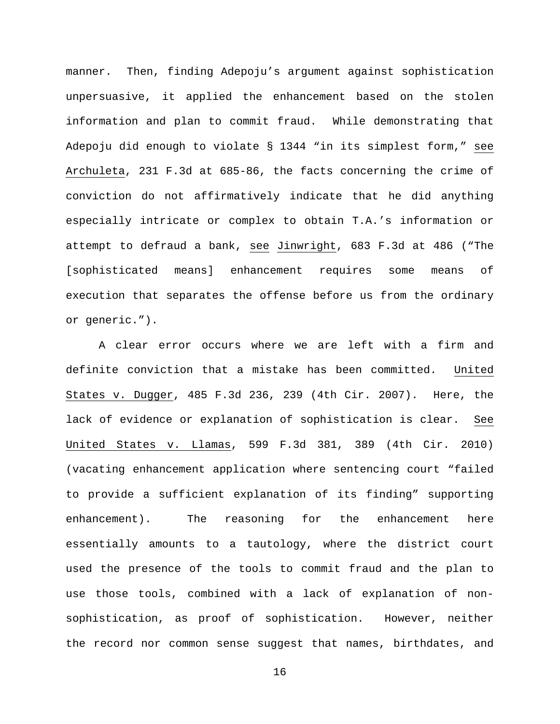manner. Then, finding Adepoju's argument against sophistication unpersuasive, it applied the enhancement based on the stolen information and plan to commit fraud. While demonstrating that Adepoju did enough to violate § 1344 "in its simplest form," see Archuleta, 231 F.3d at 685-86, the facts concerning the crime of conviction do not affirmatively indicate that he did anything especially intricate or complex to obtain T.A.'s information or attempt to defraud a bank, see Jinwright, 683 F.3d at 486 ("The [sophisticated means] enhancement requires some means of execution that separates the offense before us from the ordinary or generic.").

A clear error occurs where we are left with a firm and definite conviction that a mistake has been committed. United States v. Dugger, 485 F.3d 236, 239 (4th Cir. 2007). Here, the lack of evidence or explanation of sophistication is clear. See United States v. Llamas, 599 F.3d 381, 389 (4th Cir. 2010) (vacating enhancement application where sentencing court "failed to provide a sufficient explanation of its finding" supporting enhancement). The reasoning for the enhancement here essentially amounts to a tautology, where the district court used the presence of the tools to commit fraud and the plan to use those tools, combined with a lack of explanation of nonsophistication, as proof of sophistication. However, neither the record nor common sense suggest that names, birthdates, and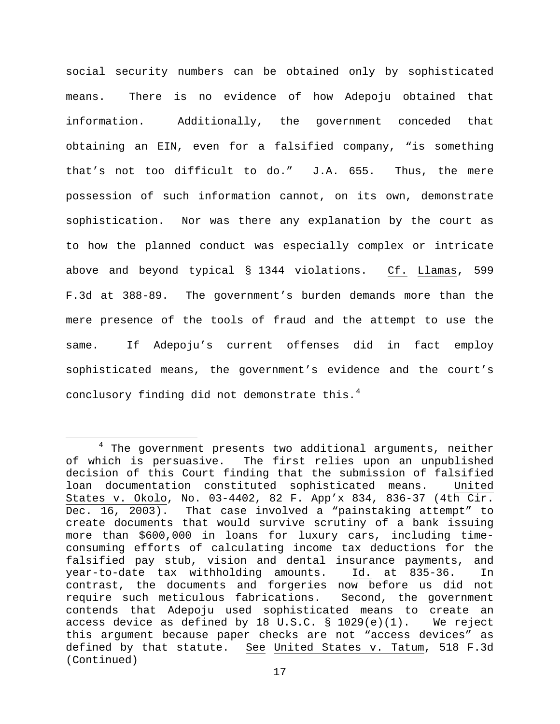social security numbers can be obtained only by sophisticated means. There is no evidence of how Adepoju obtained that information. Additionally, the government conceded that obtaining an EIN, even for a falsified company, "is something that's not too difficult to do." J.A. 655. Thus, the mere possession of such information cannot, on its own, demonstrate sophistication. Nor was there any explanation by the court as to how the planned conduct was especially complex or intricate above and beyond typical § 1344 violations. Cf. Llamas, 599 F.3d at 388-89. The government's burden demands more than the mere presence of the tools of fraud and the attempt to use the same. If Adepoju's current offenses did in fact employ sophisticated means, the government's evidence and the court's conclusory finding did not demonstrate this.<sup>[4](#page-16-0)</sup>

<span id="page-16-0"></span><sup>&</sup>lt;sup>4</sup> The government presents two additional arguments, neither of which is persuasive. The first relies upon an unpublished decision of this Court finding that the submission of falsified loan documentation constituted sophisticated means. United States v. Okolo, No. 03-4402, 82 F. App'x 834, 836-37 (4th Cir.<br>Dec. 16, 2003). That case involved a "painstaking attempt" to That case involved a "painstaking attempt" to create documents that would survive scrutiny of a bank issuing more than \$600,000 in loans for luxury cars, including timeconsuming efforts of calculating income tax deductions for the falsified pay stub, vision and dental insurance payments, and<br>year-to-date tax withholding amounts. Id. at 835-36. In year-to-date tax withholding amounts. Id. at 835-36. In contrast, the documents and forgeries now before us did not require such meticulous fabrications. Second, the government contends that Adepoju used sophisticated means to create an<br>access device as defined by 18 U.S.C. § 1029(e)(1). We reject access device as defined by 18 U.S.C.  $\S$  1029(e)(1). this argument because paper checks are not "access devices" as defined by that statute. See United States v. Tatum, 518 F.3d (Continued)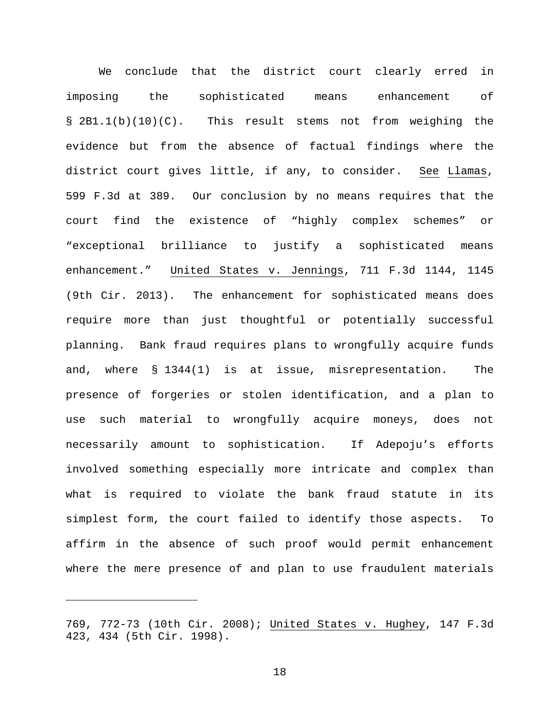We conclude that the district court clearly erred in imposing the sophisticated means enhancement of § 2B1.1(b)(10)(C). This result stems not from weighing the evidence but from the absence of factual findings where the district court gives little, if any, to consider. See Llamas, 599 F.3d at 389. Our conclusion by no means requires that the court find the existence of "highly complex schemes" or "exceptional brilliance to justify a sophisticated means enhancement." United States v. Jennings, 711 F.3d 1144, 1145 (9th Cir. 2013). The enhancement for sophisticated means does require more than just thoughtful or potentially successful planning. Bank fraud requires plans to wrongfully acquire funds and, where § 1344(1) is at issue, misrepresentation. The presence of forgeries or stolen identification, and a plan to use such material to wrongfully acquire moneys, does not necessarily amount to sophistication. If Adepoju's efforts involved something especially more intricate and complex than what is required to violate the bank fraud statute in its simplest form, the court failed to identify those aspects. To affirm in the absence of such proof would permit enhancement where the mere presence of and plan to use fraudulent materials

Ĩ.

<sup>769, 772-73 (10</sup>th Cir. 2008); United States v. Hughey, 147 F.3d 423, 434 (5th Cir. 1998).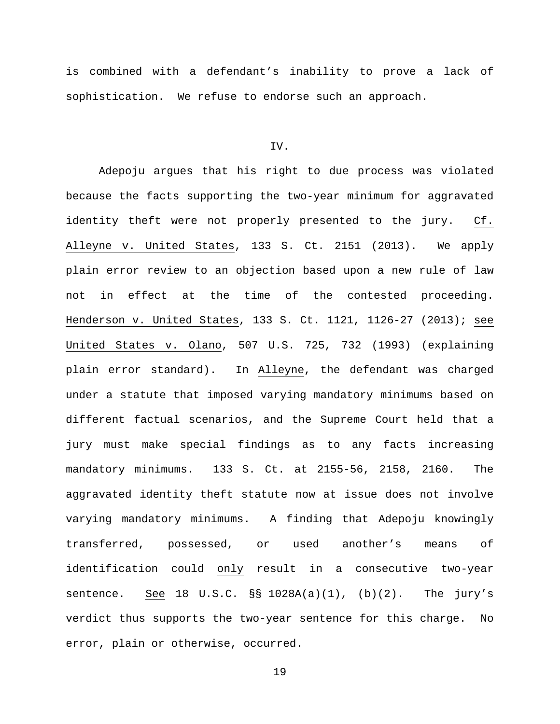is combined with a defendant's inability to prove a lack of sophistication. We refuse to endorse such an approach.

## IV.

Adepoju argues that his right to due process was violated because the facts supporting the two-year minimum for aggravated identity theft were not properly presented to the jury.  $Cf$ . Alleyne v. United States, 133 S. Ct. 2151 (2013). We apply plain error review to an objection based upon a new rule of law not in effect at the time of the contested proceeding. Henderson v. United States, 133 S. Ct. 1121, 1126-27 (2013); see United States v. Olano, 507 U.S. 725, 732 (1993) (explaining plain error standard). In Alleyne, the defendant was charged under a statute that imposed varying mandatory minimums based on different factual scenarios, and the Supreme Court held that a jury must make special findings as to any facts increasing mandatory minimums. 133 S. Ct. at 2155-56, 2158, 2160. The aggravated identity theft statute now at issue does not involve varying mandatory minimums. A finding that Adepoju knowingly transferred, possessed, or used another's means of identification could only result in a consecutive two-year sentence. See 18 U.S.C.  $\S$ § 1028A(a)(1), (b)(2). The jury's verdict thus supports the two-year sentence for this charge. No error, plain or otherwise, occurred.